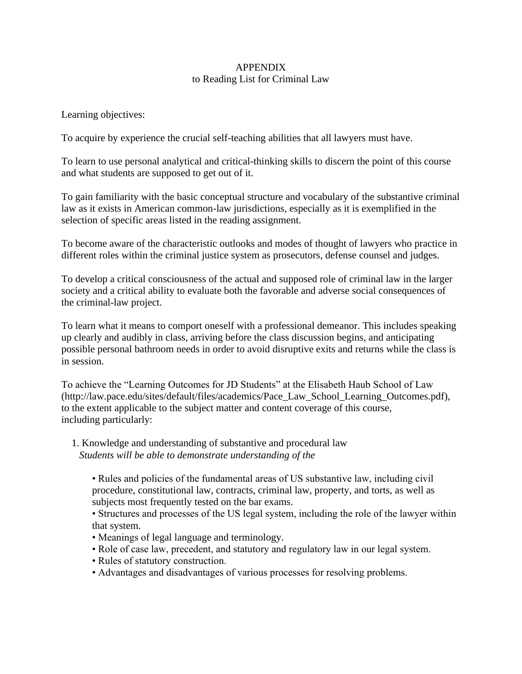## APPENDIX to Reading List for Criminal Law

Learning objectives:

To acquire by experience the crucial self-teaching abilities that all lawyers must have.

To learn to use personal analytical and critical-thinking skills to discern the point of this course and what students are supposed to get out of it.

To gain familiarity with the basic conceptual structure and vocabulary of the substantive criminal law as it exists in American common-law jurisdictions, especially as it is exemplified in the selection of specific areas listed in the reading assignment.

To become aware of the characteristic outlooks and modes of thought of lawyers who practice in different roles within the criminal justice system as prosecutors, defense counsel and judges.

To develop a critical consciousness of the actual and supposed role of criminal law in the larger society and a critical ability to evaluate both the favorable and adverse social consequences of the criminal-law project.

To learn what it means to comport oneself with a professional demeanor. This includes speaking up clearly and audibly in class, arriving before the class discussion begins, and anticipating possible personal bathroom needs in order to avoid disruptive exits and returns while the class is in session.

To achieve the "Learning Outcomes for JD Students" at the Elisabeth Haub School of Law (http://law.pace.edu/sites/default/files/academics/Pace\_Law\_School\_Learning\_Outcomes.pdf), to the extent applicable to the subject matter and content coverage of this course, including particularly:

- 1. Knowledge and understanding of substantive and procedural law  *Students will be able to demonstrate understanding of the*
	- Rules and policies of the fundamental areas of US substantive law, including civil procedure, constitutional law, contracts, criminal law, property, and torts, as well as subjects most frequently tested on the bar exams.

• Structures and processes of the US legal system, including the role of the lawyer within that system.

- Meanings of legal language and terminology.
- Role of case law, precedent, and statutory and regulatory law in our legal system.
- Rules of statutory construction.
- Advantages and disadvantages of various processes for resolving problems.